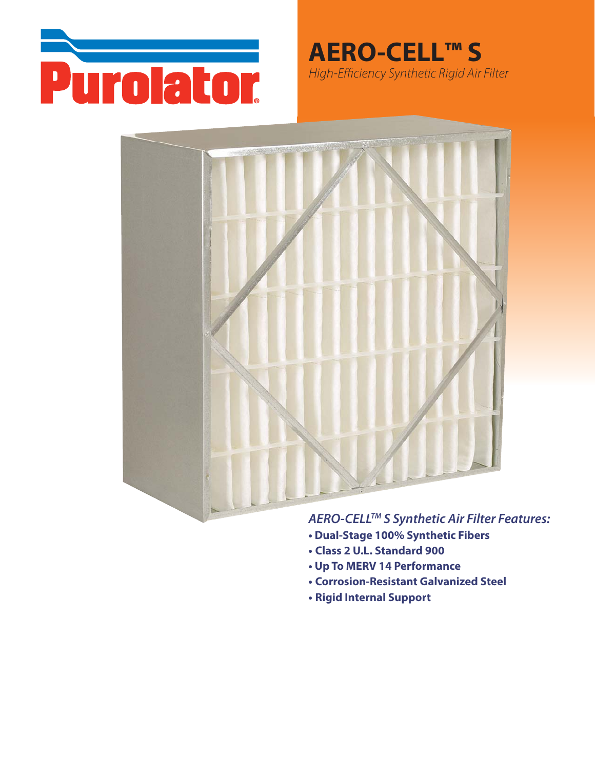

**AERO-CELL™S** High-Efficiency Synthetic Rigid Air Filter



## AERO-CELL™ S Synthetic Air Filter Features:

- Dual-Stage 100% Synthetic Fibers
- Class 2 U.L. Standard 900
- Up To MERV 14 Performance
- **Corrosion-Resistant Galvanized Steel**
- Rigid Internal Support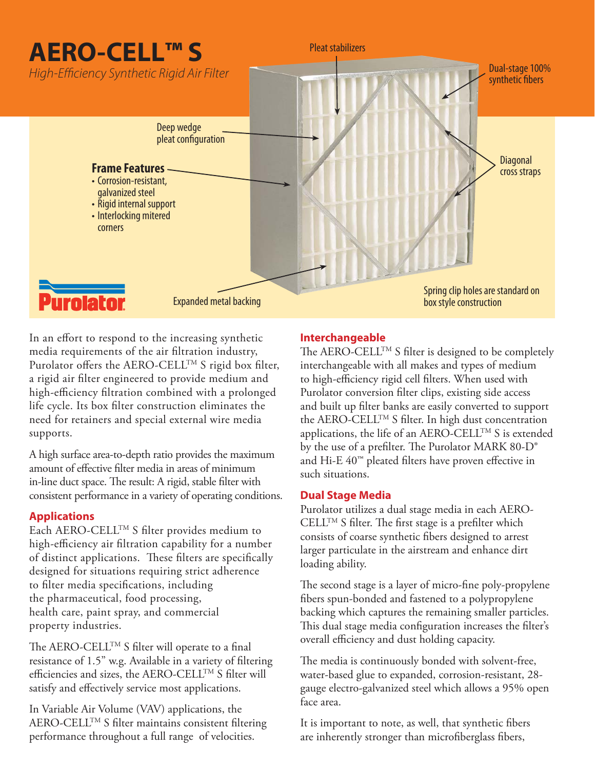# **AERO-CELL™ S**

High-Efficiency Synthetic Rigid Air Filter



In an effort to respond to the increasing synthetic media requirements of the air filtration industry, Purolator offers the AERO-CELL<sup>TM</sup> S rigid box filter, a rigid air filter engineered to provide medium and high-efficiency filtration combined with a prolonged life cycle. Its box filter construction eliminates the need for retainers and special external wire media supports.

A high surface area-to-depth ratio provides the maximum amount of effective filter media in areas of minimum in-line duct space. The result: A rigid, stable filter with consistent performance in a variety of operating conditions.

#### **Applications**

Each AERO-CELLTM S filter provides medium to high-efficiency air filtration capability for a number of distinct applications. These filters are specifically designed for situations requiring strict adherence to filter media specifications, including the pharmaceutical, food processing, health care, paint spray, and commercial property industries.

The AERO-CELL<sup>TM</sup> S filter will operate to a final resistance of 1.5" w.g. Available in a variety of filtering efficiencies and sizes, the AERO-CELLTM S filter will satisfy and effectively service most applications.

In Variable Air Volume (VAV) applications, the AERO-CELLTM S filter maintains consistent filtering performance throughout a full range of velocities.

### **Interchangeable**

Pleat stabilizers

The AERO-CELL<sup>TM</sup> S filter is designed to be completely interchangeable with all makes and types of medium to high-efficiency rigid cell filters. When used with Purolator conversion filter clips, existing side access and built up filter banks are easily converted to support the AERO-CELLTM S filter. In high dust concentration applications, the life of an AERO-CELLTM S is extended by the use of a prefilter. The Purolator MARK 80-D® and Hi-E 40™ pleated filters have proven effective in such situations.

Dual-stage 100%

#### **Dual Stage Media**

Purolator utilizes a dual stage media in each AERO- $CELL^{TM} S$  filter. The first stage is a prefilter which consists of coarse synthetic fibers designed to arrest larger particulate in the airstream and enhance dirt loading ability.

The second stage is a layer of micro-fine poly-propylene fibers spun-bonded and fastened to a polypropylene backing which captures the remaining smaller particles. This dual stage media configuration increases the filter's overall efficiency and dust holding capacity.

The media is continuously bonded with solvent-free, water-based glue to expanded, corrosion-resistant, 28 gauge electro-galvanized steel which allows a 95% open face area.

It is important to note, as well, that synthetic fibers are inherently stronger than microfiberglass fibers,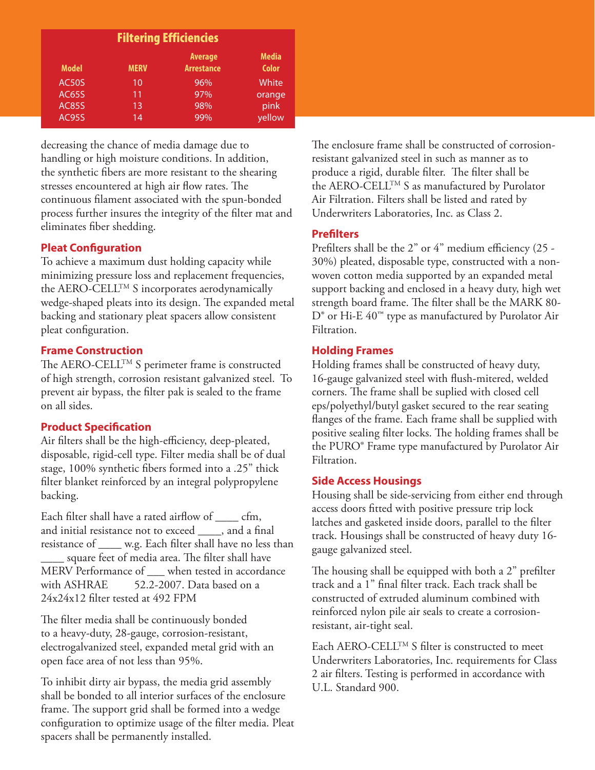| <b>Filtering Efficiencies</b> |             |                                     |                              |  |  |  |  |
|-------------------------------|-------------|-------------------------------------|------------------------------|--|--|--|--|
| <b>Model</b>                  | <b>MERV</b> | <b>Average</b><br><b>Arrestance</b> | <b>Media</b><br><b>Color</b> |  |  |  |  |
| <b>AC50S</b>                  | 10          | 96%                                 | White                        |  |  |  |  |
| <b>AC65S</b>                  | 11          | 97%                                 | orange                       |  |  |  |  |
| <b>AC85S</b>                  | 13          | 98%                                 | pink                         |  |  |  |  |
| <b>AC95S</b>                  | 14          | 99%                                 | yellow                       |  |  |  |  |

decreasing the chance of media damage due to handling or high moisture conditions. In addition, the synthetic fibers are more resistant to the shearing stresses encountered at high air flow rates. The continuous filament associated with the spun-bonded process further insures the integrity of the filter mat and eliminates fiber shedding.

### **Pleat Configuration**

To achieve a maximum dust holding capacity while minimizing pressure loss and replacement frequencies, the AERO-CELLTM S incorporates aerodynamically wedge-shaped pleats into its design. The expanded metal backing and stationary pleat spacers allow consistent pleat configuration.

#### **Frame Construction**

The AERO-CELL<sup>TM</sup> S perimeter frame is constructed of high strength, corrosion resistant galvanized steel. To prevent air bypass, the filter pak is sealed to the frame on all sides.

#### **Product Specification**

Air filters shall be the high-efficiency, deep-pleated, disposable, rigid-cell type. Filter media shall be of dual stage, 100% synthetic fibers formed into a .25" thick filter blanket reinforced by an integral polypropylene backing.

Each filter shall have a rated airflow of \_\_\_\_ cfm, and initial resistance not to exceed \_\_\_\_, and a final resistance of \_\_\_\_ w.g. Each filter shall have no less than square feet of media area. The filter shall have MERV Performance of when tested in accordance with ASHRAE 52.2-2007. Data based on a 24x24x12 filter tested at 492 FPM

The filter media shall be continuously bonded to a heavy-duty, 28-gauge, corrosion-resistant, electrogalvanized steel, expanded metal grid with an open face area of not less than 95%.

To inhibit dirty air bypass, the media grid assembly shall be bonded to all interior surfaces of the enclosure frame. The support grid shall be formed into a wedge configuration to optimize usage of the filter media. Pleat spacers shall be permanently installed.

The enclosure frame shall be constructed of corrosionresistant galvanized steel in such as manner as to produce a rigid, durable filter. The filter shall be the AERO-CELLTM S as manufactured by Purolator Air Filtration. Filters shall be listed and rated by Underwriters Laboratories, Inc. as Class 2.

#### **Prefilters**

Prefilters shall be the 2" or 4" medium efficiency (25 - 30%) pleated, disposable type, constructed with a nonwoven cotton media supported by an expanded metal support backing and enclosed in a heavy duty, high wet strength board frame. The filter shall be the MARK 80- D<sup>®</sup> or Hi-E 40<sup>™</sup> type as manufactured by Purolator Air Filtration.

#### **Holding Frames**

Holding frames shall be constructed of heavy duty, 16-gauge galvanized steel with flush-mitered, welded corners. The frame shall be suplied with closed cell eps/polyethyl/butyl gasket secured to the rear seating flanges of the frame. Each frame shall be supplied with positive sealing filter locks. The holding frames shall be the PURO® Frame type manufactured by Purolator Air Filtration.

#### **Side Access Housings**

Housing shall be side-servicing from either end through access doors fitted with positive pressure trip lock latches and gasketed inside doors, parallel to the filter track. Housings shall be constructed of heavy duty 16 gauge galvanized steel.

The housing shall be equipped with both a 2" prefilter track and a 1" final filter track. Each track shall be constructed of extruded aluminum combined with reinforced nylon pile air seals to create a corrosionresistant, air-tight seal.

Each AERO-CELL™ S filter is constructed to meet Underwriters Laboratories, Inc. requirements for Class 2 air filters. Testing is performed in accordance with U.L. Standard 900.